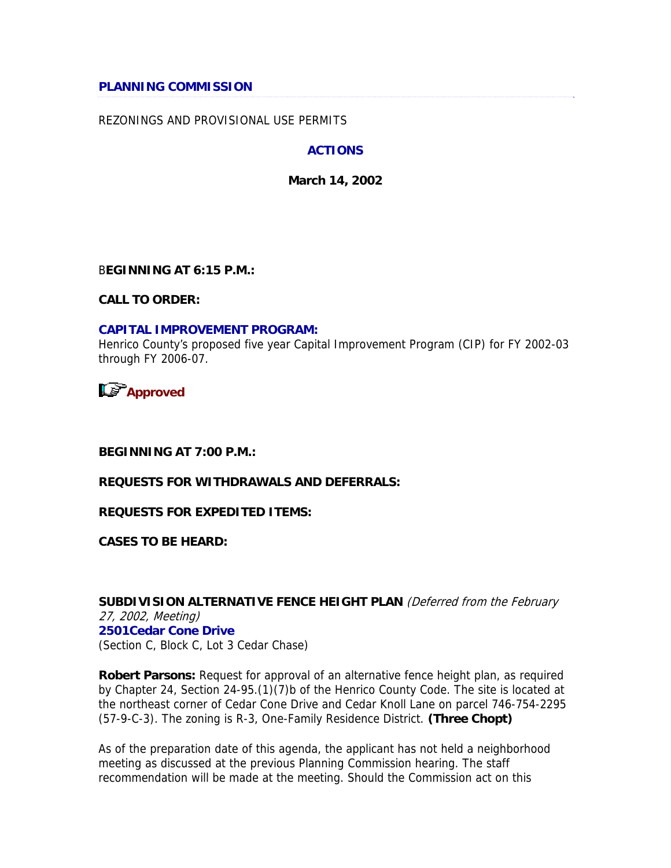### **PLANNING COMMISSION**

### REZONINGS AND PROVISIONAL USE PERMITS

### **ACTIONS**

**March 14, 2002** 

B**EGINNING AT 6:15 P.M.:** 

**CALL TO ORDER:** 

#### **CAPITAL IMPROVEMENT PROGRAM:**

Henrico County's proposed five year Capital Improvement Program (CIP) for FY 2002-03 through FY 2006-07.

**Approved** 

**BEGINNING AT 7:00 P.M.:** 

### **REQUESTS FOR WITHDRAWALS AND DEFERRALS:**

**REQUESTS FOR EXPEDITED ITEMS:** 

**CASES TO BE HEARD:** 

**SUBDIVISION ALTERNATIVE FENCE HEIGHT PLAN** (Deferred from the February 27, 2002, Meeting) **2501Cedar Cone Drive**  (Section C, Block C, Lot 3 Cedar Chase)

**Robert Parsons:** Request for approval of an alternative fence height plan, as required by Chapter 24, Section 24-95.(1)(7)b of the Henrico County Code. The site is located at the northeast corner of Cedar Cone Drive and Cedar Knoll Lane on parcel 746-754-2295 (57-9-C-3). The zoning is R-3, One-Family Residence District. **(Three Chopt)** 

As of the preparation date of this agenda, the applicant has not held a neighborhood meeting as discussed at the previous Planning Commission hearing. The staff recommendation will be made at the meeting. Should the Commission act on this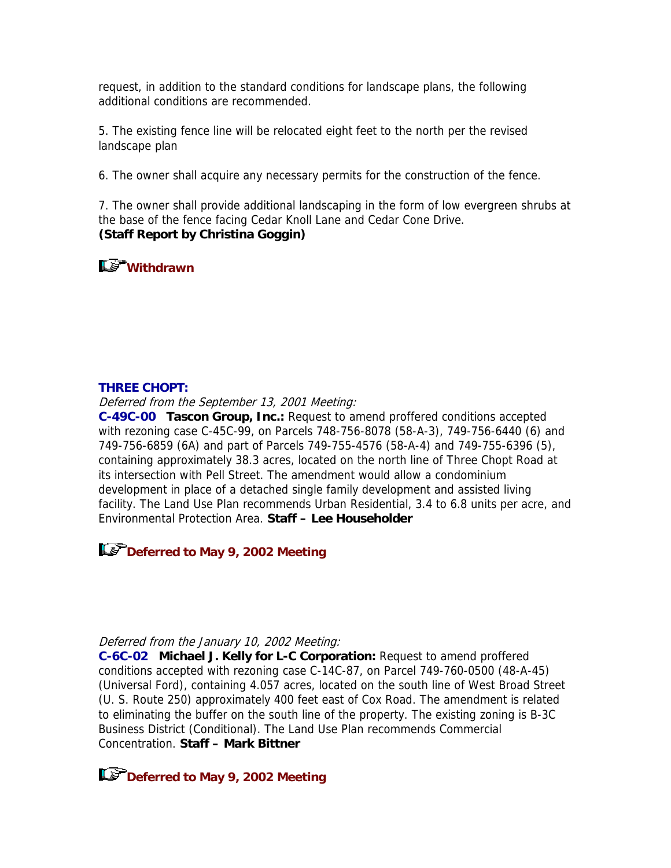request, in addition to the standard conditions for landscape plans, the following additional conditions are recommended.

5. The existing fence line will be relocated eight feet to the north per the revised landscape plan

6. The owner shall acquire any necessary permits for the construction of the fence.

7. The owner shall provide additional landscaping in the form of low evergreen shrubs at the base of the fence facing Cedar Knoll Lane and Cedar Cone Drive. **(Staff Report by Christina Goggin)** 

**Withdrawn**

### **THREE CHOPT:**

Deferred from the September 13, 2001 Meeting:

**C-49C-00 Tascon Group, Inc.:** Request to amend proffered conditions accepted with rezoning case C-45C-99, on Parcels 748-756-8078 (58-A-3), 749-756-6440 (6) and 749-756-6859 (6A) and part of Parcels 749-755-4576 (58-A-4) and 749-755-6396 (5), containing approximately 38.3 acres, located on the north line of Three Chopt Road at its intersection with Pell Street. The amendment would allow a condominium development in place of a detached single family development and assisted living facility. The Land Use Plan recommends Urban Residential, 3.4 to 6.8 units per acre, and Environmental Protection Area. **Staff – Lee Householder** 

**Deferred to May 9, 2002 Meeting** 

### Deferred from the January 10, 2002 Meeting:

**C-6C-02 Michael J. Kelly for L-C Corporation:** Request to amend proffered conditions accepted with rezoning case C-14C-87, on Parcel 749-760-0500 (48-A-45) (Universal Ford), containing 4.057 acres, located on the south line of West Broad Street (U. S. Route 250) approximately 400 feet east of Cox Road. The amendment is related to eliminating the buffer on the south line of the property. The existing zoning is B-3C Business District (Conditional). The Land Use Plan recommends Commercial Concentration. **Staff – Mark Bittner** 

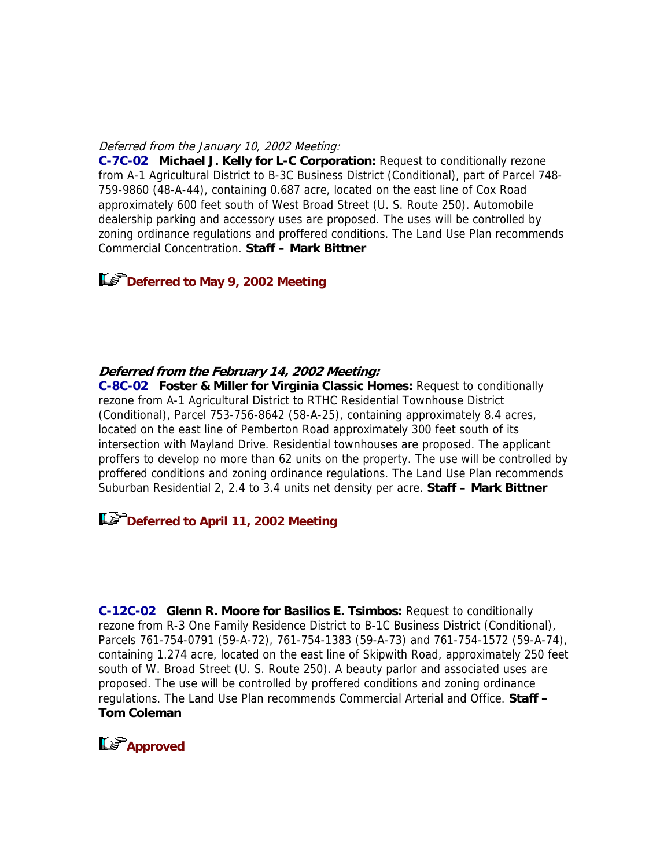#### Deferred from the January 10, 2002 Meeting:

**C-7C-02 Michael J. Kelly for L-C Corporation:** Request to conditionally rezone from A-1 Agricultural District to B-3C Business District (Conditional), part of Parcel 748- 759-9860 (48-A-44), containing 0.687 acre, located on the east line of Cox Road approximately 600 feet south of West Broad Street (U. S. Route 250). Automobile dealership parking and accessory uses are proposed. The uses will be controlled by zoning ordinance regulations and proffered conditions. The Land Use Plan recommends Commercial Concentration. **Staff – Mark Bittner**

**Let Deferred to May 9, 2002 Meeting** 

### **Deferred from the February 14, 2002 Meeting:**

**C-8C-02 Foster & Miller for Virginia Classic Homes:** Request to conditionally rezone from A-1 Agricultural District to RTHC Residential Townhouse District (Conditional), Parcel 753-756-8642 (58-A-25), containing approximately 8.4 acres, located on the east line of Pemberton Road approximately 300 feet south of its intersection with Mayland Drive. Residential townhouses are proposed. The applicant proffers to develop no more than 62 units on the property. The use will be controlled by proffered conditions and zoning ordinance regulations. The Land Use Plan recommends Suburban Residential 2, 2.4 to 3.4 units net density per acre. **Staff – Mark Bittner**

# **Deferred to April 11, 2002 Meeting**

**C-12C-02 Glenn R. Moore for Basilios E. Tsimbos:** Request to conditionally rezone from R-3 One Family Residence District to B-1C Business District (Conditional), Parcels 761-754-0791 (59-A-72), 761-754-1383 (59-A-73) and 761-754-1572 (59-A-74), containing 1.274 acre, located on the east line of Skipwith Road, approximately 250 feet south of W. Broad Street (U. S. Route 250). A beauty parlor and associated uses are proposed. The use will be controlled by proffered conditions and zoning ordinance regulations. The Land Use Plan recommends Commercial Arterial and Office. **Staff – Tom Coleman**

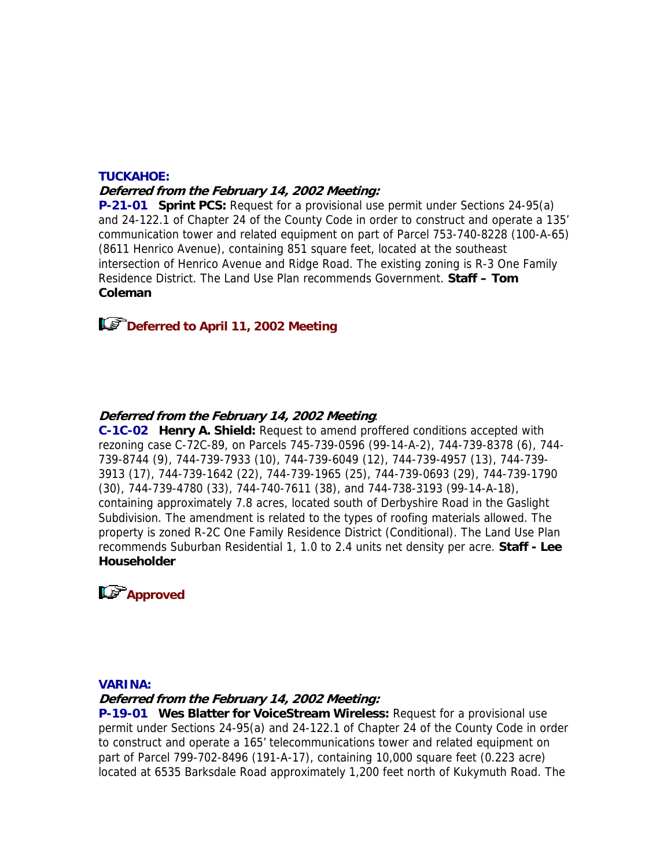# **TUCKAHOE: Deferred from the February 14, 2002 Meeting:**

**P-21-01 Sprint PCS:** Request for a provisional use permit under Sections 24-95(a) and 24-122.1 of Chapter 24 of the County Code in order to construct and operate a 135' communication tower and related equipment on part of Parcel 753-740-8228 (100-A-65) (8611 Henrico Avenue), containing 851 square feet, located at the southeast intersection of Henrico Avenue and Ridge Road. The existing zoning is R-3 One Family Residence District. The Land Use Plan recommends Government. **Staff – Tom Coleman**

# **Deferred to April 11, 2002 Meeting**

## **Deferred from the February 14, 2002 Meeting**:

**C-1C-02 Henry A. Shield:** Request to amend proffered conditions accepted with rezoning case C-72C-89, on Parcels 745-739-0596 (99-14-A-2), 744-739-8378 (6), 744- 739-8744 (9), 744-739-7933 (10), 744-739-6049 (12), 744-739-4957 (13), 744-739- 3913 (17), 744-739-1642 (22), 744-739-1965 (25), 744-739-0693 (29), 744-739-1790 (30), 744-739-4780 (33), 744-740-7611 (38), and 744-738-3193 (99-14-A-18), containing approximately 7.8 acres, located south of Derbyshire Road in the Gaslight Subdivision. The amendment is related to the types of roofing materials allowed. The property is zoned R-2C One Family Residence District (Conditional). The Land Use Plan recommends Suburban Residential 1, 1.0 to 2.4 units net density per acre. **Staff - Lee Householder**



### **VARINA:**

**Deferred from the February 14, 2002 Meeting:** 

**P-19-01 Wes Blatter for VoiceStream Wireless:** Request for a provisional use permit under Sections 24-95(a) and 24-122.1 of Chapter 24 of the County Code in order to construct and operate a 165' telecommunications tower and related equipment on part of Parcel 799-702-8496 (191-A-17), containing 10,000 square feet (0.223 acre) located at 6535 Barksdale Road approximately 1,200 feet north of Kukymuth Road. The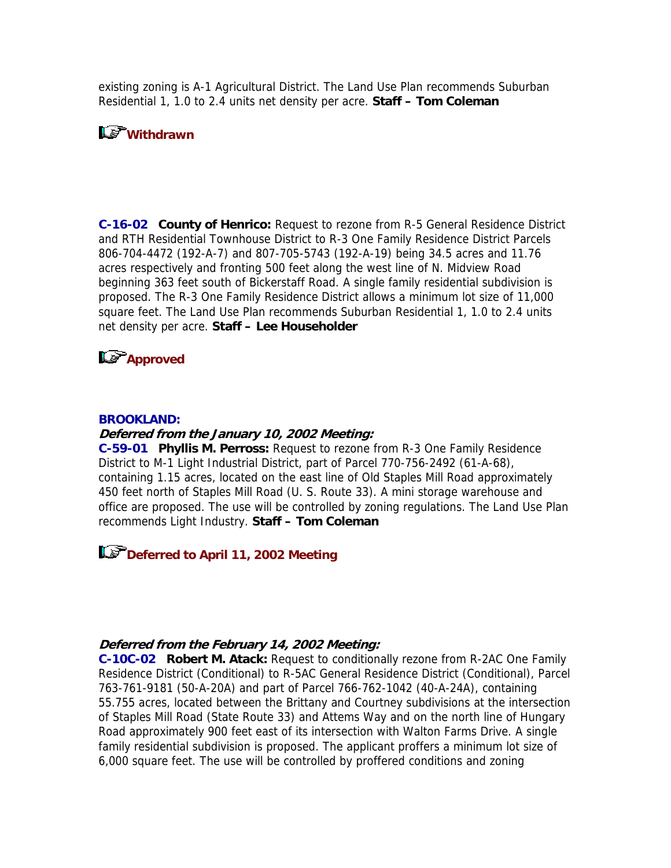existing zoning is A-1 Agricultural District. The Land Use Plan recommends Suburban Residential 1, 1.0 to 2.4 units net density per acre. **Staff – Tom Coleman**

# **Withdrawn**

**C-16-02 County of Henrico:** Request to rezone from R-5 General Residence District and RTH Residential Townhouse District to R-3 One Family Residence District Parcels 806-704-4472 (192-A-7) and 807-705-5743 (192-A-19) being 34.5 acres and 11.76 acres respectively and fronting 500 feet along the west line of N. Midview Road beginning 363 feet south of Bickerstaff Road. A single family residential subdivision is proposed. The R-3 One Family Residence District allows a minimum lot size of 11,000 square feet. The Land Use Plan recommends Suburban Residential 1, 1.0 to 2.4 units net density per acre. **Staff – Lee Householder**

# **L**<sup> $\bullet$ </sup> Approved

#### **BROOKLAND:**

### **Deferred from the January 10, 2002 Meeting:**

**C-59-01 Phyllis M. Perross:** Request to rezone from R-3 One Family Residence District to M-1 Light Industrial District, part of Parcel 770-756-2492 (61-A-68), containing 1.15 acres, located on the east line of Old Staples Mill Road approximately 450 feet north of Staples Mill Road (U. S. Route 33). A mini storage warehouse and office are proposed. The use will be controlled by zoning regulations. The Land Use Plan recommends Light Industry. **Staff – Tom Coleman**

**Deferred to April 11, 2002 Meeting** 

### **Deferred from the February 14, 2002 Meeting:**

**C-10C-02 Robert M. Atack:** Request to conditionally rezone from R-2AC One Family Residence District (Conditional) to R-5AC General Residence District (Conditional), Parcel 763-761-9181 (50-A-20A) and part of Parcel 766-762-1042 (40-A-24A), containing 55.755 acres, located between the Brittany and Courtney subdivisions at the intersection of Staples Mill Road (State Route 33) and Attems Way and on the north line of Hungary Road approximately 900 feet east of its intersection with Walton Farms Drive. A single family residential subdivision is proposed. The applicant proffers a minimum lot size of 6,000 square feet. The use will be controlled by proffered conditions and zoning